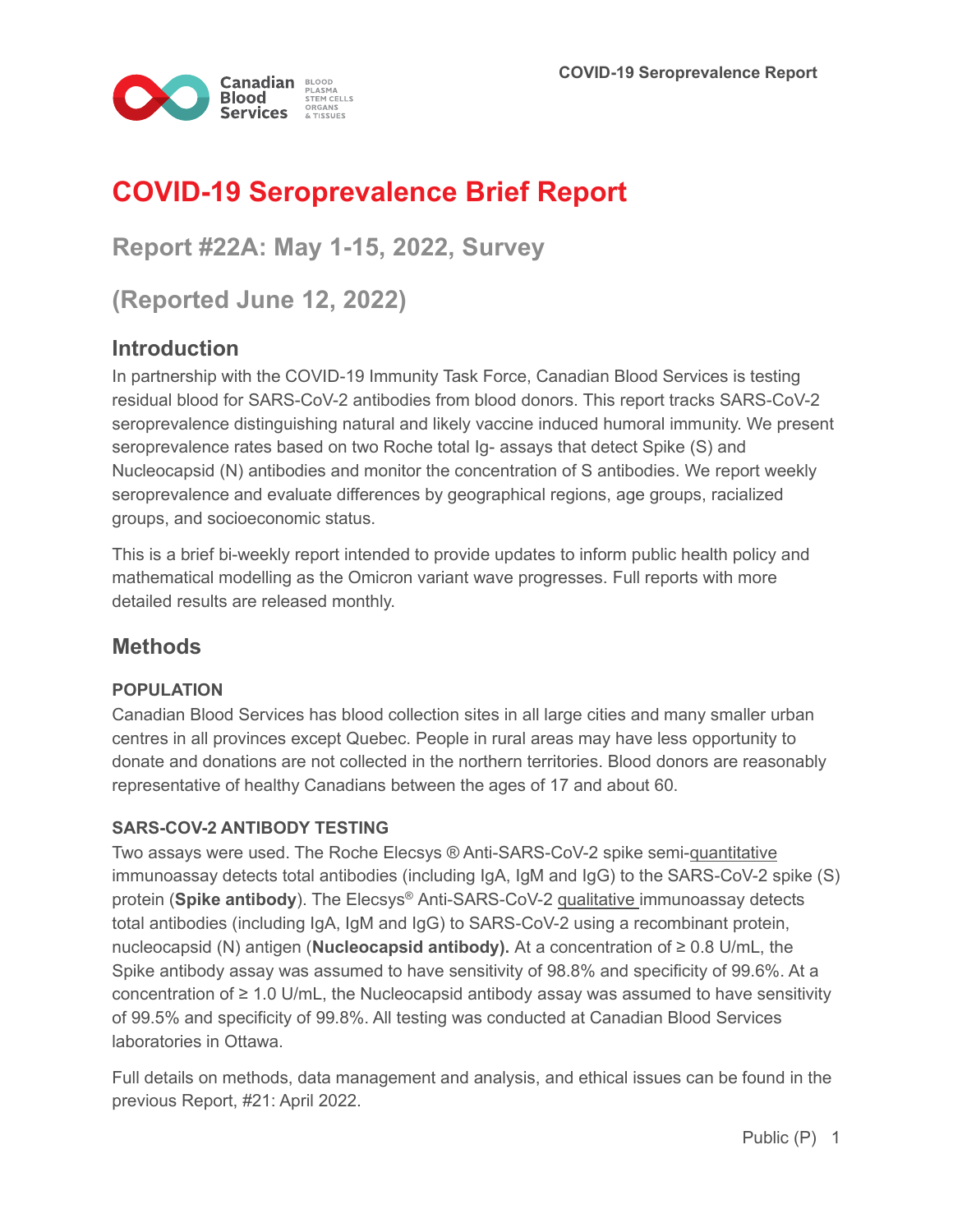

# **COVID-19 Seroprevalence Brief Report**

**Report #22A: May 1-15, 2022, Survey** 

**(Reported June 12, 2022)**

## **Introduction**

In partnership with the COVID-19 Immunity Task Force, Canadian Blood Services is testing residual blood for SARS-CoV-2 antibodies from blood donors. This report tracks SARS-CoV-2 seroprevalence distinguishing natural and likely vaccine induced humoral immunity. We present seroprevalence rates based on two Roche total Ig- assays that detect Spike (S) and Nucleocapsid (N) antibodies and monitor the concentration of S antibodies. We report weekly seroprevalence and evaluate differences by geographical regions, age groups, racialized groups, and socioeconomic status.

This is a brief bi-weekly report intended to provide updates to inform public health policy and mathematical modelling as the Omicron variant wave progresses. Full reports with more detailed results are released monthly.

## **Methods**

#### **POPULATION**

Canadian Blood Services has blood collection sites in all large cities and many smaller urban centres in all provinces except Quebec. People in rural areas may have less opportunity to donate and donations are not collected in the northern territories. Blood donors are reasonably representative of healthy Canadians between the ages of 17 and about 60.

#### **SARS-COV-2 ANTIBODY TESTING**

Two assays were used. The Roche Elecsys ® Anti-SARS-CoV-2 spike semi-quantitative immunoassay detects total antibodies (including IgA, IgM and IgG) to the SARS-CoV-2 spike (S) protein (**Spike antibody**). The Elecsys® Anti-SARS-CoV-2 qualitative immunoassay detects total antibodies (including IgA, IgM and IgG) to SARS-CoV-2 using a recombinant protein, nucleocapsid (N) antigen (**Nucleocapsid antibody).** At a concentration of ≥ 0.8 U/mL, the Spike antibody assay was assumed to have sensitivity of 98.8% and specificity of 99.6%. At a concentration of  $\geq 1.0$  U/mL, the Nucleocapsid antibody assay was assumed to have sensitivity of 99.5% and specificity of 99.8%. All testing was conducted at Canadian Blood Services laboratories in Ottawa.

Full details on methods, data management and analysis, and ethical issues can be found in the previous Report, #21: April 2022.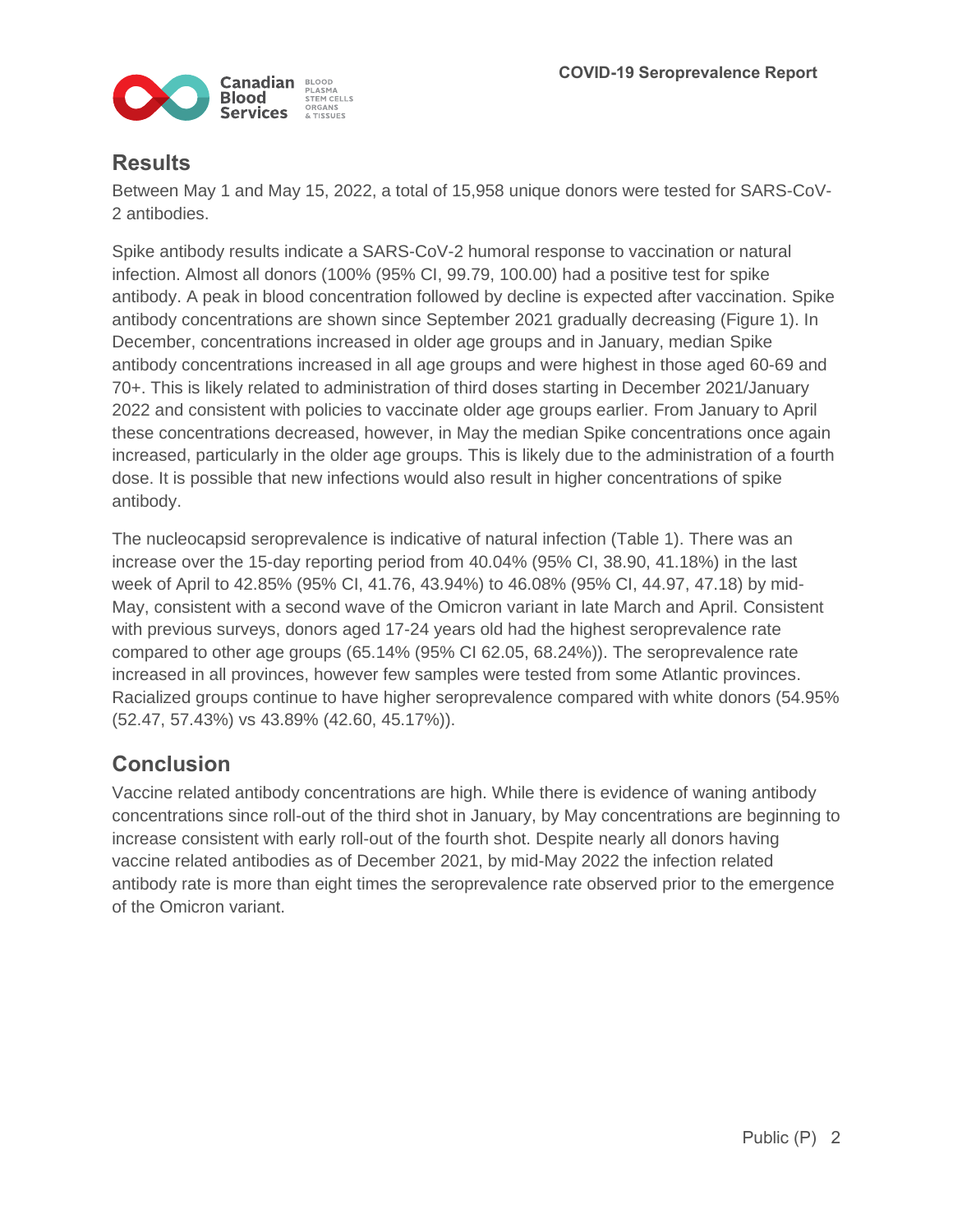

### **Results**

Between May 1 and May 15, 2022, a total of 15,958 unique donors were tested for SARS-CoV-2 antibodies.

Spike antibody results indicate a SARS-CoV-2 humoral response to vaccination or natural infection. Almost all donors (100% (95% CI, 99.79, 100.00) had a positive test for spike antibody. A peak in blood concentration followed by decline is expected after vaccination. Spike antibody concentrations are shown since September 2021 gradually decreasing (Figure 1). In December, concentrations increased in older age groups and in January, median Spike antibody concentrations increased in all age groups and were highest in those aged 60-69 and 70+. This is likely related to administration of third doses starting in December 2021/January 2022 and consistent with policies to vaccinate older age groups earlier. From January to April these concentrations decreased, however, in May the median Spike concentrations once again increased, particularly in the older age groups. This is likely due to the administration of a fourth dose. It is possible that new infections would also result in higher concentrations of spike antibody.

The nucleocapsid seroprevalence is indicative of natural infection (Table 1). There was an increase over the 15-day reporting period from 40.04% (95% CI, 38.90, 41.18%) in the last week of April to 42.85% (95% CI, 41.76, 43.94%) to 46.08% (95% CI, 44.97, 47.18) by mid-May, consistent with a second wave of the Omicron variant in late March and April. Consistent with previous surveys, donors aged 17-24 years old had the highest seroprevalence rate compared to other age groups (65.14% (95% CI 62.05, 68.24%)). The seroprevalence rate increased in all provinces, however few samples were tested from some Atlantic provinces. Racialized groups continue to have higher seroprevalence compared with white donors (54.95% (52.47, 57.43%) vs 43.89% (42.60, 45.17%)).

## **Conclusion**

Vaccine related antibody concentrations are high. While there is evidence of waning antibody concentrations since roll-out of the third shot in January, by May concentrations are beginning to increase consistent with early roll-out of the fourth shot. Despite nearly all donors having vaccine related antibodies as of December 2021, by mid-May 2022 the infection related antibody rate is more than eight times the seroprevalence rate observed prior to the emergence of the Omicron variant.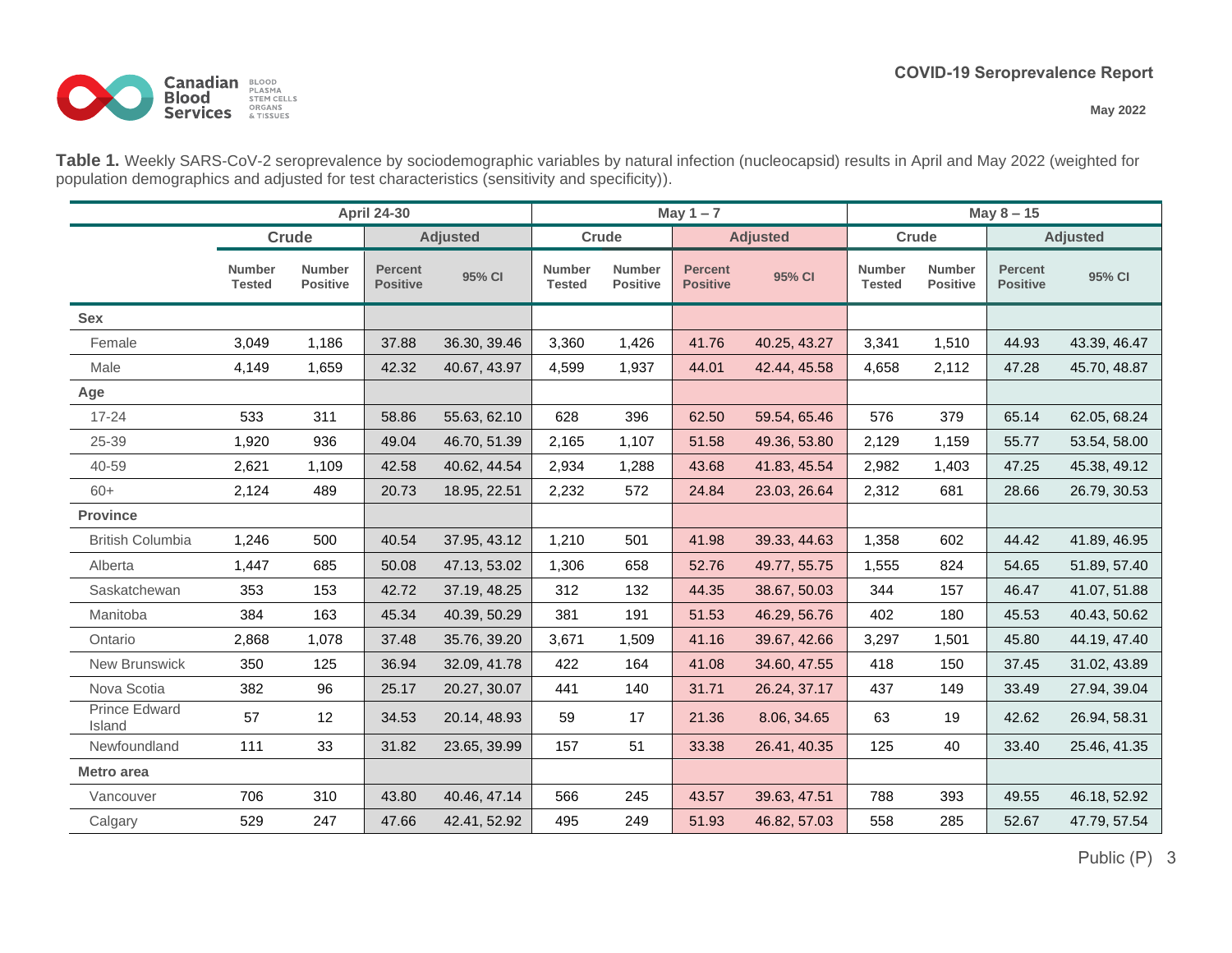**May 2022**



**Table 1.** Weekly SARS-CoV-2 seroprevalence by sociodemographic variables by natural infection (nucleocapsid) results in April and May 2022 (weighted for population demographics and adjusted for test characteristics (sensitivity and specificity)).

|                         |                                |                                  | <b>April 24-30</b>                |              |                                |                                  | May $1 - 7$                       |              | May $8 - 15$                   |                                  |                                   |              |
|-------------------------|--------------------------------|----------------------------------|-----------------------------------|--------------|--------------------------------|----------------------------------|-----------------------------------|--------------|--------------------------------|----------------------------------|-----------------------------------|--------------|
|                         | Crude                          |                                  | <b>Adjusted</b>                   |              | Crude                          |                                  | <b>Adjusted</b>                   |              | Crude                          |                                  | <b>Adjusted</b>                   |              |
|                         | <b>Number</b><br><b>Tested</b> | <b>Number</b><br><b>Positive</b> | <b>Percent</b><br><b>Positive</b> | 95% CI       | <b>Number</b><br><b>Tested</b> | <b>Number</b><br><b>Positive</b> | <b>Percent</b><br><b>Positive</b> | 95% CI       | <b>Number</b><br><b>Tested</b> | <b>Number</b><br><b>Positive</b> | <b>Percent</b><br><b>Positive</b> | 95% CI       |
| <b>Sex</b>              |                                |                                  |                                   |              |                                |                                  |                                   |              |                                |                                  |                                   |              |
| Female                  | 3,049                          | 1,186                            | 37.88                             | 36.30, 39.46 | 3,360                          | 1,426                            | 41.76                             | 40.25, 43.27 | 3,341                          | 1,510                            | 44.93                             | 43.39, 46.47 |
| Male                    | 4,149                          | 1,659                            | 42.32                             | 40.67, 43.97 | 4,599                          | 1,937                            | 44.01                             | 42.44, 45.58 | 4,658                          | 2,112                            | 47.28                             | 45.70, 48.87 |
| Age                     |                                |                                  |                                   |              |                                |                                  |                                   |              |                                |                                  |                                   |              |
| $17 - 24$               | 533                            | 311                              | 58.86                             | 55.63, 62.10 | 628                            | 396                              | 62.50                             | 59.54, 65.46 | 576                            | 379                              | 65.14                             | 62.05, 68.24 |
| 25-39                   | 1,920                          | 936                              | 49.04                             | 46.70, 51.39 | 2,165                          | 1,107                            | 51.58                             | 49.36, 53.80 | 2,129                          | 1,159                            | 55.77                             | 53.54, 58.00 |
| 40-59                   | 2,621                          | 1,109                            | 42.58                             | 40.62, 44.54 | 2,934                          | 1,288                            | 43.68                             | 41.83, 45.54 | 2,982                          | 1,403                            | 47.25                             | 45.38, 49.12 |
| $60+$                   | 2,124                          | 489                              | 20.73                             | 18.95, 22.51 | 2,232                          | 572                              | 24.84                             | 23.03, 26.64 | 2,312                          | 681                              | 28.66                             | 26.79, 30.53 |
| <b>Province</b>         |                                |                                  |                                   |              |                                |                                  |                                   |              |                                |                                  |                                   |              |
| <b>British Columbia</b> | 1,246                          | 500                              | 40.54                             | 37.95, 43.12 | 1,210                          | 501                              | 41.98                             | 39.33, 44.63 | 1,358                          | 602                              | 44.42                             | 41.89, 46.95 |
| Alberta                 | 1,447                          | 685                              | 50.08                             | 47.13, 53.02 | 1,306                          | 658                              | 52.76                             | 49.77, 55.75 | 1,555                          | 824                              | 54.65                             | 51.89, 57.40 |
| Saskatchewan            | 353                            | 153                              | 42.72                             | 37.19, 48.25 | 312                            | 132                              | 44.35                             | 38.67, 50.03 | 344                            | 157                              | 46.47                             | 41.07, 51.88 |
| Manitoba                | 384                            | 163                              | 45.34                             | 40.39, 50.29 | 381                            | 191                              | 51.53                             | 46.29, 56.76 | 402                            | 180                              | 45.53                             | 40.43, 50.62 |
| Ontario                 | 2,868                          | 1,078                            | 37.48                             | 35.76, 39.20 | 3,671                          | 1,509                            | 41.16                             | 39.67, 42.66 | 3,297                          | 1,501                            | 45.80                             | 44.19, 47.40 |
| New Brunswick           | 350                            | 125                              | 36.94                             | 32.09, 41.78 | 422                            | 164                              | 41.08                             | 34.60, 47.55 | 418                            | 150                              | 37.45                             | 31.02, 43.89 |
| Nova Scotia             | 382                            | 96                               | 25.17                             | 20.27, 30.07 | 441                            | 140                              | 31.71                             | 26.24, 37.17 | 437                            | 149                              | 33.49                             | 27.94, 39.04 |
| Prince Edward<br>Island | 57                             | 12                               | 34.53                             | 20.14, 48.93 | 59                             | 17                               | 21.36                             | 8.06, 34.65  | 63                             | 19                               | 42.62                             | 26.94, 58.31 |
| Newfoundland            | 111                            | 33                               | 31.82                             | 23.65, 39.99 | 157                            | 51                               | 33.38                             | 26.41, 40.35 | 125                            | 40                               | 33.40                             | 25.46, 41.35 |
| Metro area              |                                |                                  |                                   |              |                                |                                  |                                   |              |                                |                                  |                                   |              |
| Vancouver               | 706                            | 310                              | 43.80                             | 40.46, 47.14 | 566                            | 245                              | 43.57                             | 39.63, 47.51 | 788                            | 393                              | 49.55                             | 46.18, 52.92 |
| Calgary                 | 529                            | 247                              | 47.66                             | 42.41, 52.92 | 495                            | 249                              | 51.93                             | 46.82, 57.03 | 558                            | 285                              | 52.67                             | 47.79, 57.54 |

Public (P) 3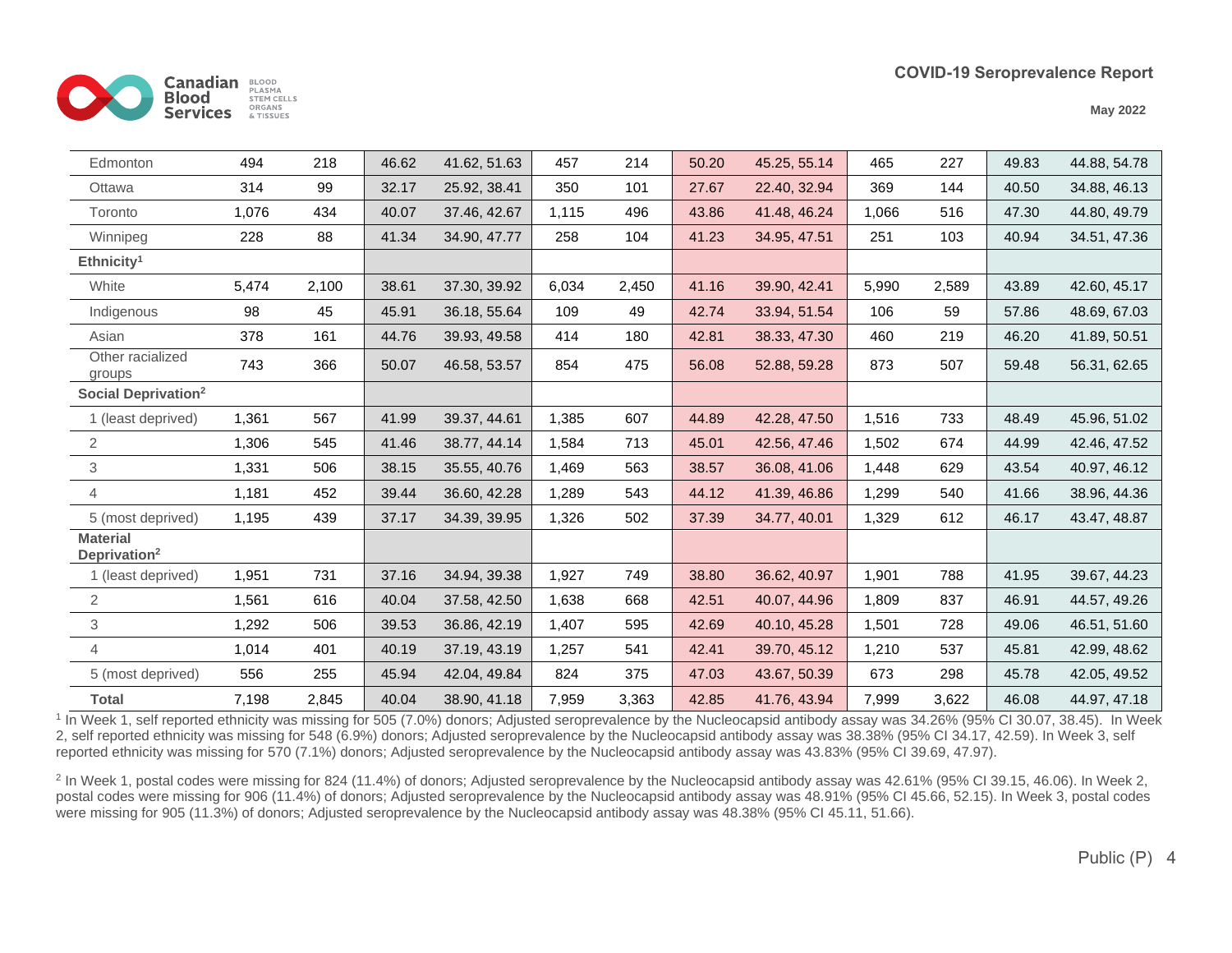

**May 2022**

| Edmonton                                    | 494   | 218   | 46.62 | 41.62, 51.63 | 457   | 214   | 50.20 | 45.25, 55.14 | 465   | 227   | 49.83 | 44.88, 54.78 |
|---------------------------------------------|-------|-------|-------|--------------|-------|-------|-------|--------------|-------|-------|-------|--------------|
| Ottawa                                      | 314   | 99    | 32.17 | 25.92, 38.41 | 350   | 101   | 27.67 | 22.40, 32.94 | 369   | 144   | 40.50 | 34.88, 46.13 |
| Toronto                                     | 1,076 | 434   | 40.07 | 37.46, 42.67 | 1,115 | 496   | 43.86 | 41.48, 46.24 | 1,066 | 516   | 47.30 | 44.80, 49.79 |
| Winnipeg                                    | 228   | 88    | 41.34 | 34.90, 47.77 | 258   | 104   | 41.23 | 34.95, 47.51 | 251   | 103   | 40.94 | 34.51, 47.36 |
| Ethnicity <sup>1</sup>                      |       |       |       |              |       |       |       |              |       |       |       |              |
| White                                       | 5,474 | 2,100 | 38.61 | 37.30, 39.92 | 6,034 | 2,450 | 41.16 | 39.90, 42.41 | 5,990 | 2,589 | 43.89 | 42.60, 45.17 |
| Indigenous                                  | 98    | 45    | 45.91 | 36.18, 55.64 | 109   | 49    | 42.74 | 33.94, 51.54 | 106   | 59    | 57.86 | 48.69, 67.03 |
| Asian                                       | 378   | 161   | 44.76 | 39.93, 49.58 | 414   | 180   | 42.81 | 38.33, 47.30 | 460   | 219   | 46.20 | 41.89, 50.51 |
| Other racialized<br>groups                  | 743   | 366   | 50.07 | 46.58, 53.57 | 854   | 475   | 56.08 | 52.88, 59.28 | 873   | 507   | 59.48 | 56.31, 62.65 |
| Social Deprivation <sup>2</sup>             |       |       |       |              |       |       |       |              |       |       |       |              |
| 1 (least deprived)                          | 1,361 | 567   | 41.99 | 39.37, 44.61 | 1,385 | 607   | 44.89 | 42.28, 47.50 | 1,516 | 733   | 48.49 | 45.96, 51.02 |
| $\sqrt{2}$                                  | 1,306 | 545   | 41.46 | 38.77, 44.14 | 1,584 | 713   | 45.01 | 42.56, 47.46 | 1,502 | 674   | 44.99 | 42.46, 47.52 |
| $\ensuremath{\mathsf{3}}$                   | 1,331 | 506   | 38.15 | 35.55, 40.76 | 1,469 | 563   | 38.57 | 36.08, 41.06 | 1,448 | 629   | 43.54 | 40.97, 46.12 |
| $\overline{4}$                              | 1,181 | 452   | 39.44 | 36.60, 42.28 | 1,289 | 543   | 44.12 | 41.39, 46.86 | 1,299 | 540   | 41.66 | 38.96, 44.36 |
| 5 (most deprived)                           | 1,195 | 439   | 37.17 | 34.39, 39.95 | 1,326 | 502   | 37.39 | 34.77, 40.01 | 1,329 | 612   | 46.17 | 43.47, 48.87 |
| <b>Material</b><br>Deprivation <sup>2</sup> |       |       |       |              |       |       |       |              |       |       |       |              |
| 1 (least deprived)                          | 1,951 | 731   | 37.16 | 34.94, 39.38 | 1,927 | 749   | 38.80 | 36.62, 40.97 | 1,901 | 788   | 41.95 | 39.67, 44.23 |
| $\overline{2}$                              | 1,561 | 616   | 40.04 | 37.58, 42.50 | 1,638 | 668   | 42.51 | 40.07, 44.96 | 1,809 | 837   | 46.91 | 44.57, 49.26 |
| $\ensuremath{\mathsf{3}}$                   | 1,292 | 506   | 39.53 | 36.86, 42.19 | 1,407 | 595   | 42.69 | 40.10, 45.28 | 1,501 | 728   | 49.06 | 46.51, 51.60 |
| 4                                           | 1,014 | 401   | 40.19 | 37.19, 43.19 | 1,257 | 541   | 42.41 | 39.70, 45.12 | 1,210 | 537   | 45.81 | 42.99, 48.62 |
| 5 (most deprived)                           | 556   | 255   | 45.94 | 42.04, 49.84 | 824   | 375   | 47.03 | 43.67, 50.39 | 673   | 298   | 45.78 | 42.05, 49.52 |
| <b>Total</b>                                | 7,198 | 2,845 | 40.04 | 38.90, 41.18 | 7,959 | 3,363 | 42.85 | 41.76, 43.94 | 7,999 | 3,622 | 46.08 | 44.97, 47.18 |

<sup>1</sup> In Week 1, self reported ethnicity was missing for 505 (7.0%) donors; Adjusted seroprevalence by the Nucleocapsid antibody assay was 34.26% (95% CI 30.07, 38.45). In Week 2, self reported ethnicity was missing for 548 (6.9%) donors; Adjusted seroprevalence by the Nucleocapsid antibody assay was 38.38% (95% CI 34.17, 42.59). In Week 3, self reported ethnicity was missing for 570 (7.1%) donors; Adjusted seroprevalence by the Nucleocapsid antibody assay was 43.83% (95% CI 39.69, 47.97).

<sup>2</sup> In Week 1, postal codes were missing for 824 (11.4%) of donors; Adjusted seroprevalence by the Nucleocapsid antibody assay was 42.61% (95% CI 39.15, 46.06). In Week 2, postal codes were missing for 906 (11.4%) of donors; Adjusted seroprevalence by the Nucleocapsid antibody assay was 48.91% (95% CI 45.66, 52.15). In Week 3, postal codes were missing for 905 (11.3%) of donors; Adjusted seroprevalence by the Nucleocapsid antibody assay was 48.38% (95% CI 45.11, 51.66).